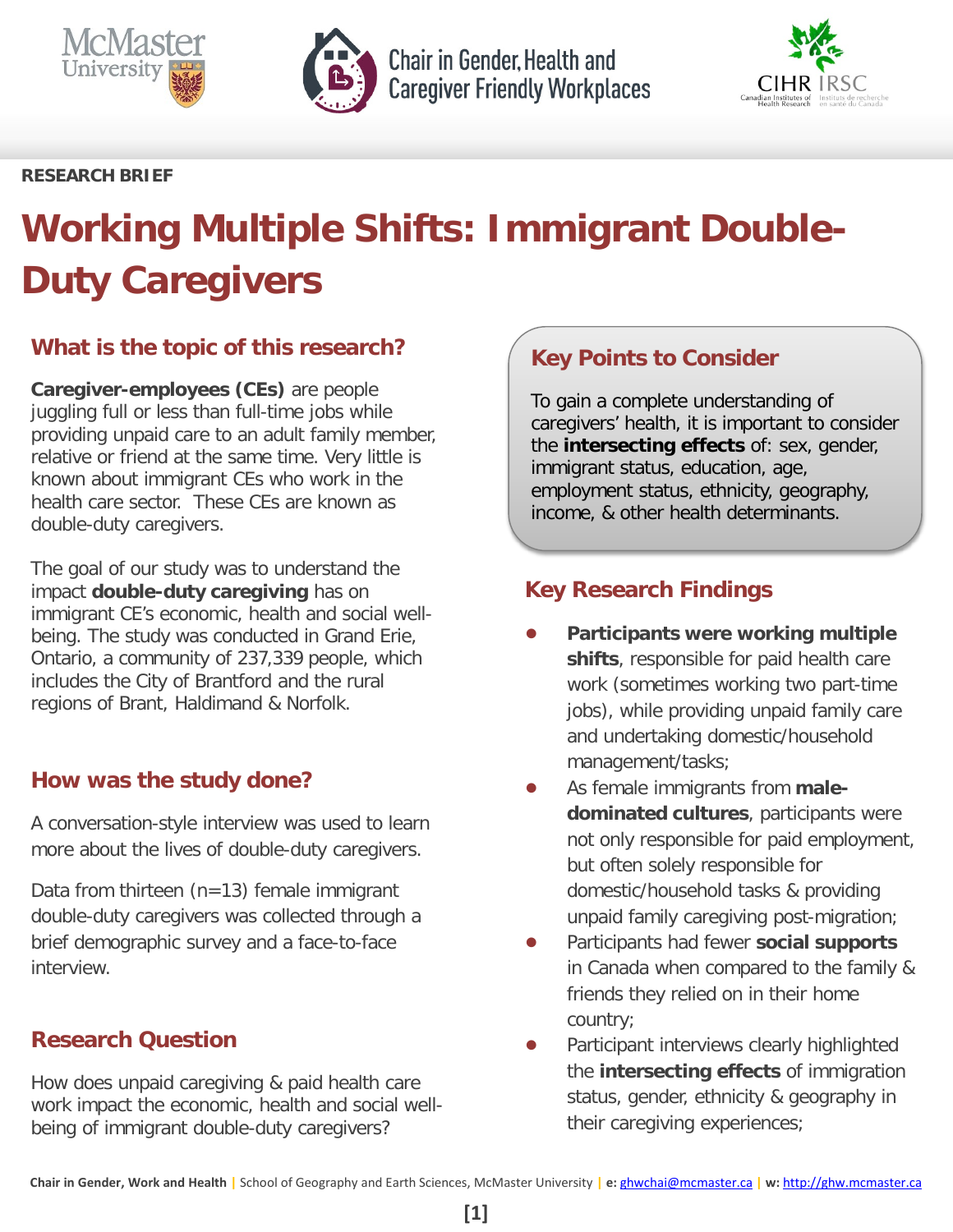



Chair in Gender, Health and **Caregiver Friendly Workplaces** 



### **RESEARCH BRIEF**

# **Working Multiple Shifts: Immigrant Double-Duty Caregivers**

# **What is the topic of this research?**

**Caregiver-employees (CEs)** are people juggling full or less than full-time jobs while providing unpaid care to an adult family member, relative or friend at the same time. Very little is known about immigrant CEs who work in the health care sector. These CEs are known as double-duty caregivers.

The goal of our study was to understand the impact **double-duty caregiving** has on immigrant CE's economic, health and social wellbeing. The study was conducted in Grand Erie, Ontario, a community of 237,339 people, which includes the City of Brantford and the rural regions of Brant, Haldimand & Norfolk.

# **How was the study done?**

A conversation-style interview was used to learn more about the lives of double-duty caregivers.

Data from thirteen (n=13) female immigrant double-duty caregivers was collected through a brief demographic survey and a face-to-face interview.

# **Research Question**

How does unpaid caregiving & paid health care work impact the economic, health and social wellbeing of immigrant double-duty caregivers?

# **Key Points to Consider**

To gain a complete understanding of caregivers' health, it is important to consider the **intersecting effects** of: sex, gender, immigrant status, education, age, employment status, ethnicity, geography, income, & other health determinants.

# **Key Research Findings**

- **Participants were working multiple shifts**, responsible for paid health care work (sometimes working two part-time jobs), while providing unpaid family care and undertaking domestic/household management/tasks;
- As female immigrants from male**dominated cultures**, participants were not only responsible for paid employment, but often solely responsible for domestic/household tasks & providing unpaid family caregiving post-migration;
- Participants had fewer **social supports** in Canada when compared to the family & friends they relied on in their home country;
- Participant interviews clearly highlighted the **intersecting effects** of immigration status, gender, ethnicity & geography in their caregiving experiences;